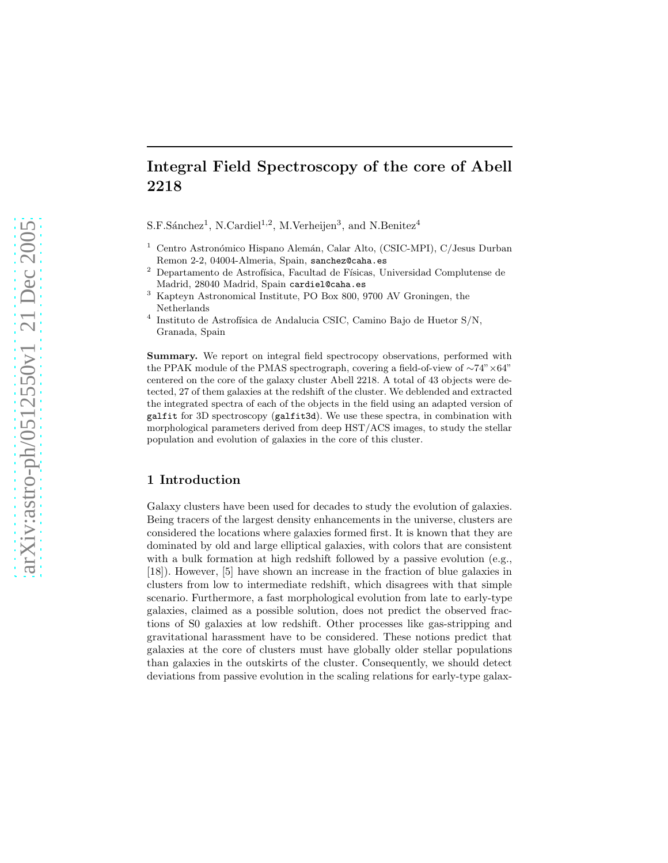# Integral Field Spectroscopy of the core of Abell 2218

 $S.F.S\acute{a}nchez<sup>1</sup>, N.Cardiel<sup>1,2</sup>, M.Verheijen<sup>3</sup>, and N.Benitez<sup>4</sup>$ 

- <sup>1</sup> Centro Astronómico Hispano Alemán, Calar Alto, (CSIC-MPI), C/Jesus Durban Remon 2-2, 04004-Almeria, Spain, sanchez@caha.es
- <sup>2</sup> Departamento de Astrofísica, Facultad de Físicas, Universidad Complutense de Madrid, 28040 Madrid, Spain cardiel@caha.es
- <sup>3</sup> Kapteyn Astronomical Institute, PO Box 800, 9700 AV Groningen, the Netherlands
- 4 Instituto de Astrofísica de Andalucia CSIC, Camino Bajo de Huetor S/N, Granada, Spain

Summary. We report on integral field spectrocopy observations, performed with the PPAK module of the PMAS spectrograph, covering a field-of-view of ∼74"×64" centered on the core of the galaxy cluster Abell 2218. A total of 43 objects were detected, 27 of them galaxies at the redshift of the cluster. We deblended and extracted the integrated spectra of each of the objects in the field using an adapted version of galfit for 3D spectroscopy (galfit3d). We use these spectra, in combination with morphological parameters derived from deep HST/ACS images, to study the stellar population and evolution of galaxies in the core of this cluster.

# 1 Introduction

Galaxy clusters have been used for decades to study the evolution of galaxies. Being tracers of the largest density enhancements in the universe, clusters are considered the locations where galaxies formed first. It is known that they are dominated by old and large elliptical galaxies, with colors that are consistent with a bulk formation at high redshift followed by a passive evolution (e.g., [18]). However, [5] have shown an increase in the fraction of blue galaxies in clusters from low to intermediate redshift, which disagrees with that simple scenario. Furthermore, a fast morphological evolution from late to early-type galaxies, claimed as a possible solution, does not predict the observed fractions of S0 galaxies at low redshift. Other processes like gas-stripping and gravitational harassment have to be considered. These notions predict that galaxies at the core of clusters must have globally older stellar populations than galaxies in the outskirts of the cluster. Consequently, we should detect deviations from passive evolution in the scaling relations for early-type galax-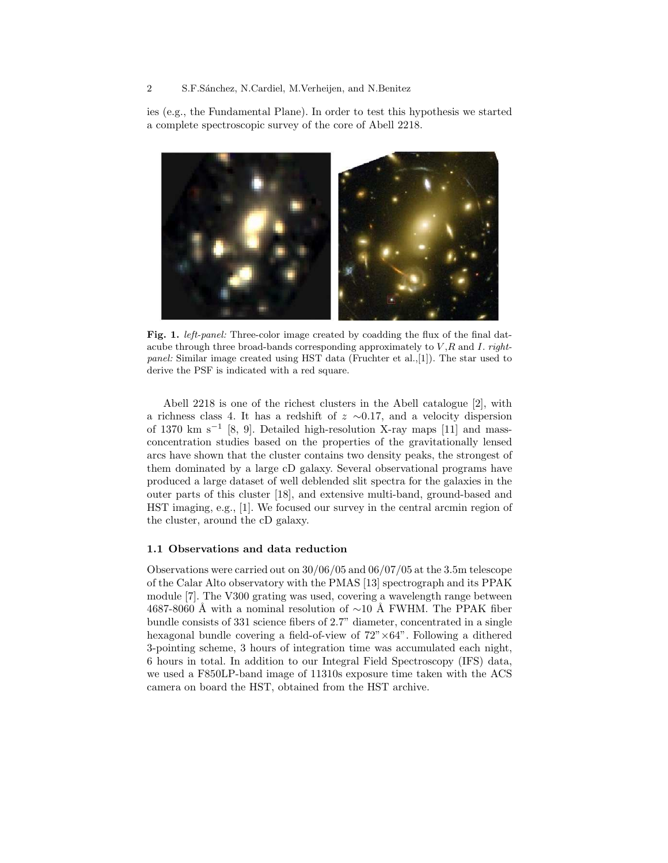## 2 S.F.Sánchez, N.Cardiel, M.Verheijen, and N.Benitez

ies (e.g., the Fundamental Plane). In order to test this hypothesis we started a complete spectroscopic survey of the core of Abell 2218.



Fig. 1. *left-panel:* Three-color image created by coadding the flux of the final datacube through three broad-bands corresponding approximately to  $V, R$  and  $I.$  rightpanel: Similar image created using HST data (Fruchter et al.,[1]). The star used to derive the PSF is indicated with a red square.

Abell 2218 is one of the richest clusters in the Abell catalogue [2], with a richness class 4. It has a redshift of  $z \sim 0.17$ , and a velocity dispersion of 1370 km s<sup>−</sup><sup>1</sup> [8, 9]. Detailed high-resolution X-ray maps [11] and massconcentration studies based on the properties of the gravitationally lensed arcs have shown that the cluster contains two density peaks, the strongest of them dominated by a large cD galaxy. Several observational programs have produced a large dataset of well deblended slit spectra for the galaxies in the outer parts of this cluster [18], and extensive multi-band, ground-based and HST imaging, e.g., [1]. We focused our survey in the central arcmin region of the cluster, around the cD galaxy.

#### 1.1 Observations and data reduction

Observations were carried out on 30/06/05 and 06/07/05 at the 3.5m telescope of the Calar Alto observatory with the PMAS [13] spectrograph and its PPAK module [7]. The V300 grating was used, covering a wavelength range between 4687-8060 Å with a nominal resolution of ~10 Å FWHM. The PPAK fiber bundle consists of 331 science fibers of 2.7" diameter, concentrated in a single hexagonal bundle covering a field-of-view of  $72" \times 64"$ . Following a dithered 3-pointing scheme, 3 hours of integration time was accumulated each night, 6 hours in total. In addition to our Integral Field Spectroscopy (IFS) data, we used a F850LP-band image of 11310s exposure time taken with the ACS camera on board the HST, obtained from the HST archive.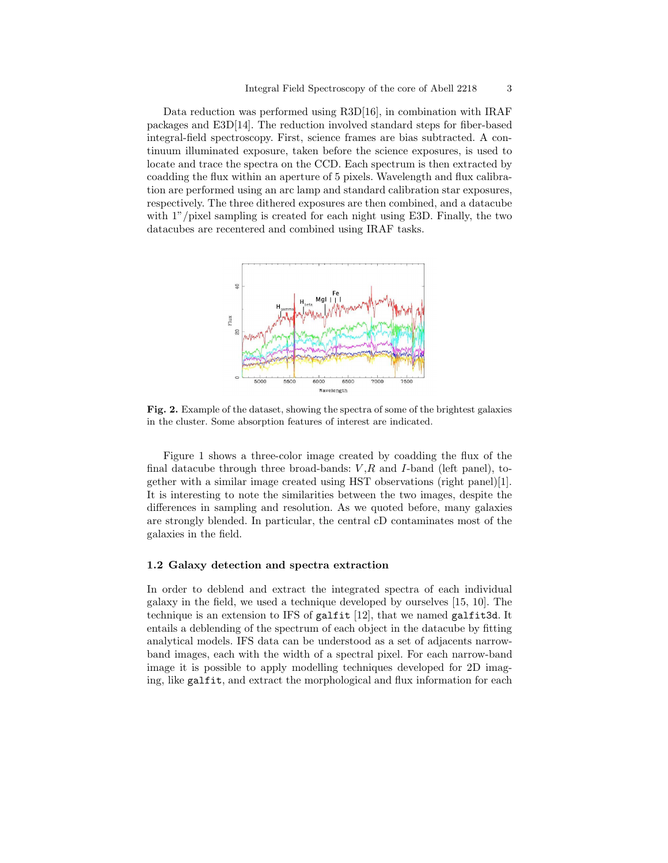Data reduction was performed using R3D[16], in combination with IRAF packages and E3D[14]. The reduction involved standard steps for fiber-based integral-field spectroscopy. First, science frames are bias subtracted. A continuum illuminated exposure, taken before the science exposures, is used to locate and trace the spectra on the CCD. Each spectrum is then extracted by coadding the flux within an aperture of 5 pixels. Wavelength and flux calibration are performed using an arc lamp and standard calibration star exposures, respectively. The three dithered exposures are then combined, and a datacube with  $1$ "/pixel sampling is created for each night using E3D. Finally, the two datacubes are recentered and combined using IRAF tasks.



Fig. 2. Example of the dataset, showing the spectra of some of the brightest galaxies in the cluster. Some absorption features of interest are indicated.

Figure 1 shows a three-color image created by coadding the flux of the final datacube through three broad-bands:  $V, R$  and I-band (left panel), together with a similar image created using HST observations (right panel)[1]. It is interesting to note the similarities between the two images, despite the differences in sampling and resolution. As we quoted before, many galaxies are strongly blended. In particular, the central cD contaminates most of the galaxies in the field.

### 1.2 Galaxy detection and spectra extraction

In order to deblend and extract the integrated spectra of each individual galaxy in the field, we used a technique developed by ourselves [15, 10]. The technique is an extension to IFS of galfit  $[12]$ , that we named galfit3d. It entails a deblending of the spectrum of each object in the datacube by fitting analytical models. IFS data can be understood as a set of adjacents narrowband images, each with the width of a spectral pixel. For each narrow-band image it is possible to apply modelling techniques developed for 2D imaging, like galfit, and extract the morphological and flux information for each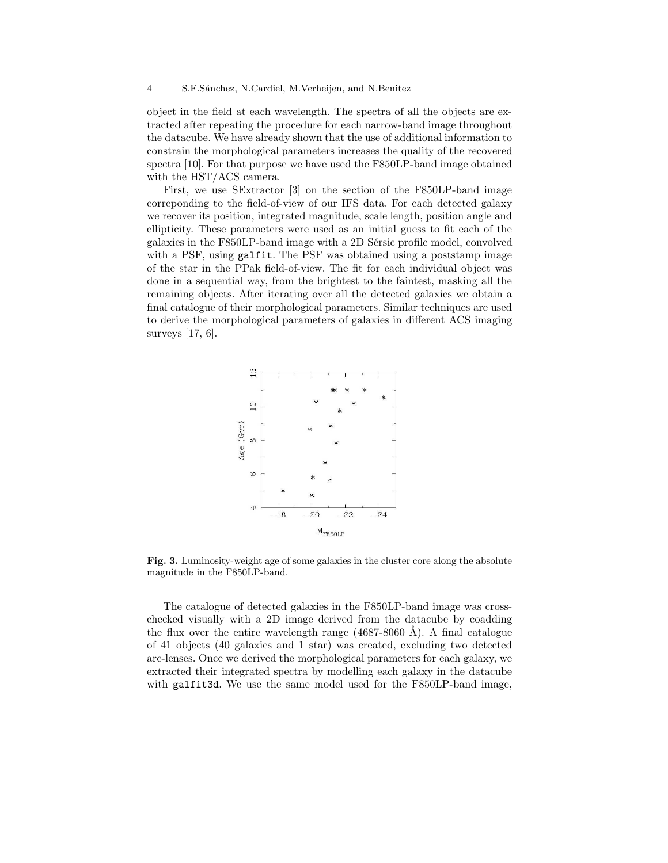object in the field at each wavelength. The spectra of all the objects are extracted after repeating the procedure for each narrow-band image throughout the datacube. We have already shown that the use of additional information to constrain the morphological parameters increases the quality of the recovered spectra [10]. For that purpose we have used the F850LP-band image obtained with the HST/ACS camera.

First, we use SExtractor [3] on the section of the F850LP-band image correponding to the field-of-view of our IFS data. For each detected galaxy we recover its position, integrated magnitude, scale length, position angle and ellipticity. These parameters were used as an initial guess to fit each of the galaxies in the F850LP-band image with a 2D Sérsic profile model, convolved with a PSF, using galfit. The PSF was obtained using a poststamp image of the star in the PPak field-of-view. The fit for each individual object was done in a sequential way, from the brightest to the faintest, masking all the remaining objects. After iterating over all the detected galaxies we obtain a final catalogue of their morphological parameters. Similar techniques are used to derive the morphological parameters of galaxies in different ACS imaging surveys [17, 6].



Fig. 3. Luminosity-weight age of some galaxies in the cluster core along the absolute magnitude in the F850LP-band.

The catalogue of detected galaxies in the F850LP-band image was crosschecked visually with a 2D image derived from the datacube by coadding the flux over the entire wavelength range  $(4687-8060 \text{ Å})$ . A final catalogue of 41 objects (40 galaxies and 1 star) was created, excluding two detected arc-lenses. Once we derived the morphological parameters for each galaxy, we extracted their integrated spectra by modelling each galaxy in the datacube with galfit3d. We use the same model used for the F850LP-band image,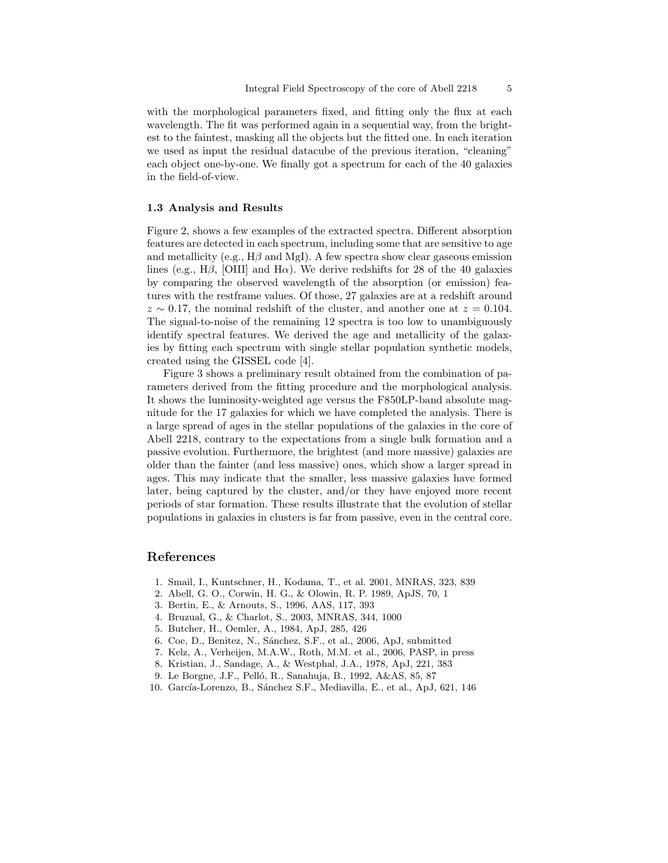with the morphological parameters fixed, and fitting only the flux at each wavelength. The fit was performed again in a sequential way, from the brightest to the faintest, masking all the objects but the fitted one. In each iteration we used as input the residual datacube of the previous iteration, "cleaning" each object one-by-one. We finally got a spectrum for each of the 40 galaxies in the field-of-view.

## 1.3 Analysis and Results

Figure 2, shows a few examples of the extracted spectra. Different absorption features are detected in each spectrum, including some that are sensitive to age and metallicity (e.g.,  $H\beta$  and MgI). A few spectra show clear gaseous emission lines (e.g., H $\beta$ , [OIII] and H $\alpha$ ). We derive redshifts for 28 of the 40 galaxies by comparing the observed wavelength of the absorption (or emission) features with the restframe values. Of those, 27 galaxies are at a redshift around  $z \sim 0.17$ , the nominal redshift of the cluster, and another one at  $z = 0.104$ . The signal-to-noise of the remaining 12 spectra is too low to unambiguously identify spectral features. We derived the age and metallicity of the galaxies by fitting each spectrum with single stellar population synthetic models, created using the GISSEL code [4].

Figure 3 shows a preliminary result obtained from the combination of parameters derived from the fitting procedure and the morphological analysis. It shows the luminosity-weighted age versus the F850LP-band absolute magnitude for the 17 galaxies for which we have completed the analysis. There is a large spread of ages in the stellar populations of the galaxies in the core of Abell 2218, contrary to the expectations from a single bulk formation and a passive evolution. Furthermore, the brightest (and more massive) galaxies are older than the fainter (and less massive) ones, which show a larger spread in ages. This may indicate that the smaller, less massive galaxies have formed later, being captured by the cluster, and/or they have enjoyed more recent periods of star formation. These results illustrate that the evolution of stellar populations in galaxies in clusters is far from passive, even in the central core.

# References

- 1. Smail, I., Kuntschner, H., Kodama, T., et al. 2001, MNRAS, 323, 839
- 2. Abell, G. O., Corwin, H. G., & Olowin, R. P. 1989, ApJS, 70, 1
- 3. Bertin, E., & Arnouts, S., 1996, AAS, 117, 393
- 4. Bruzual, G., & Charlot, S., 2003, MNRAS, 344, 1000
- 5. Butcher, H., Oemler, A., 1984, ApJ, 285, 426
- 6. Coe, D., Benitez, N., S´anchez, S.F., et al., 2006, ApJ, submitted
- 7. Kelz, A., Verheijen, M.A.W., Roth, M.M. et al., 2006, PASP, in press
- 8. Kristian, J., Sandage, A., & Westphal, J.A., 1978, ApJ, 221, 383
- 9. Le Borgne, J.F., Pelló, R., Sanahuja, B., 1992, A&AS, 85, 87
- 10. García-Lorenzo, B., Sánchez S.F., Mediavilla, E., et al., ApJ, 621, 146